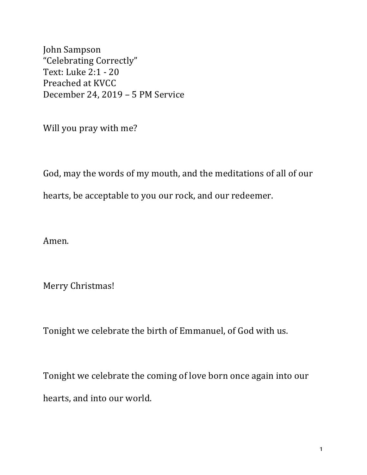John Sampson "Celebrating Correctly" Text: Luke 2:1 - 20 Preached at KVCC December 24, 2019 - 5 PM Service

Will you pray with me?

God, may the words of my mouth, and the meditations of all of our hearts, be acceptable to you our rock, and our redeemer.

Amen.

Merry Christmas!

Tonight we celebrate the birth of Emmanuel, of God with us.

Tonight we celebrate the coming of love born once again into our hearts, and into our world.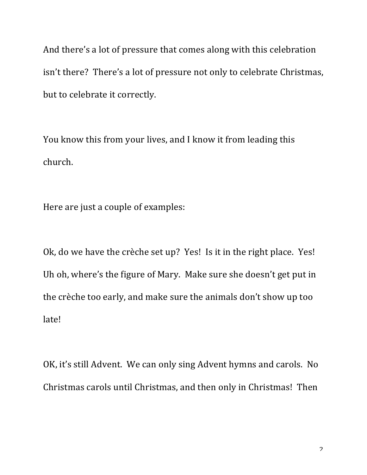And there's a lot of pressure that comes along with this celebration isn't there? There's a lot of pressure not only to celebrate Christmas, but to celebrate it correctly.

You know this from your lives, and I know it from leading this church.

Here are just a couple of examples:

Ok, do we have the crèche set up? Yes! Is it in the right place. Yes! Uh oh, where's the figure of Mary. Make sure she doesn't get put in the crèche too early, and make sure the animals don't show up too late!

OK, it's still Advent. We can only sing Advent hymns and carols. No Christmas carols until Christmas, and then only in Christmas! Then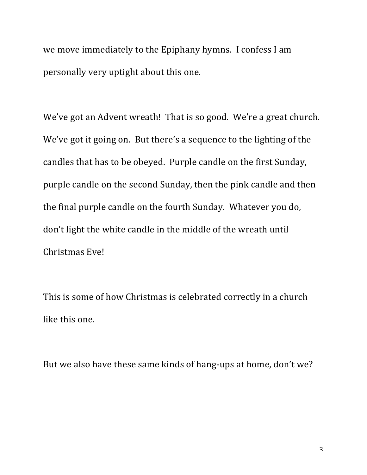we move immediately to the Epiphany hymns. I confess I am personally very uptight about this one.

We've got an Advent wreath! That is so good. We're a great church. We've got it going on. But there's a sequence to the lighting of the candles that has to be obeyed. Purple candle on the first Sunday, purple candle on the second Sunday, then the pink candle and then the final purple candle on the fourth Sunday. Whatever you do, don't light the white candle in the middle of the wreath until Christmas Eve!

This is some of how Christmas is celebrated correctly in a church like this one.

But we also have these same kinds of hang-ups at home, don't we?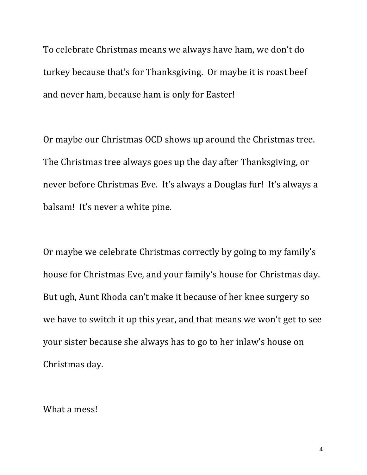To celebrate Christmas means we always have ham, we don't do turkey because that's for Thanksgiving. Or maybe it is roast beef and never ham, because ham is only for Easter!

Or maybe our Christmas OCD shows up around the Christmas tree. The Christmas tree always goes up the day after Thanksgiving, or never before Christmas Eve. It's always a Douglas fur! It's always a balsam! It's never a white pine.

Or maybe we celebrate Christmas correctly by going to my family's house for Christmas Eve, and your family's house for Christmas day. But ugh, Aunt Rhoda can't make it because of her knee surgery so we have to switch it up this year, and that means we won't get to see your sister because she always has to go to her inlaw's house on Christmas day.

What a mess!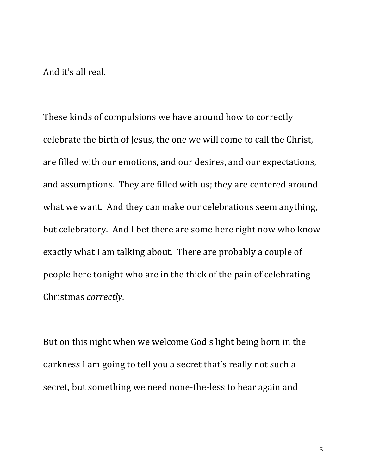And it's all real.

These kinds of compulsions we have around how to correctly celebrate the birth of Jesus, the one we will come to call the Christ, are filled with our emotions, and our desires, and our expectations, and assumptions. They are filled with us; they are centered around what we want. And they can make our celebrations seem anything, but celebratory. And I bet there are some here right now who know exactly what I am talking about. There are probably a couple of people here tonight who are in the thick of the pain of celebrating Christmas *correctly*.

But on this night when we welcome God's light being born in the darkness I am going to tell you a secret that's really not such a secret, but something we need none-the-less to hear again and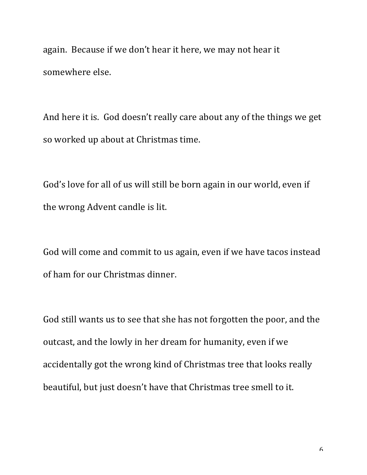again. Because if we don't hear it here, we may not hear it somewhere else.

And here it is. God doesn't really care about any of the things we get so worked up about at Christmas time.

God's love for all of us will still be born again in our world, even if the wrong Advent candle is lit.

God will come and commit to us again, even if we have tacos instead of ham for our Christmas dinner.

God still wants us to see that she has not forgotten the poor, and the outcast, and the lowly in her dream for humanity, even if we accidentally got the wrong kind of Christmas tree that looks really beautiful, but just doesn't have that Christmas tree smell to it.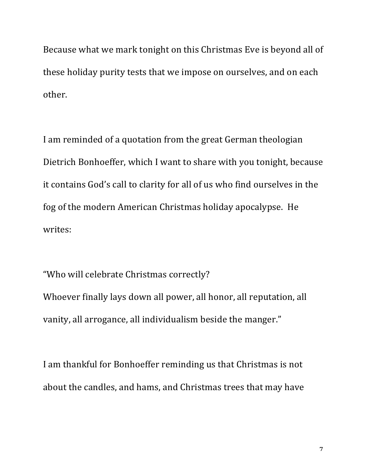Because what we mark tonight on this Christmas Eve is beyond all of these holiday purity tests that we impose on ourselves, and on each other.

I am reminded of a quotation from the great German theologian Dietrich Bonhoeffer, which I want to share with you tonight, because it contains God's call to clarity for all of us who find ourselves in the fog of the modern American Christmas holiday apocalypse. He writes:

"Who will celebrate Christmas correctly? Whoever finally lays down all power, all honor, all reputation, all vanity, all arrogance, all individualism beside the manger."

I am thankful for Bonhoeffer reminding us that Christmas is not about the candles, and hams, and Christmas trees that may have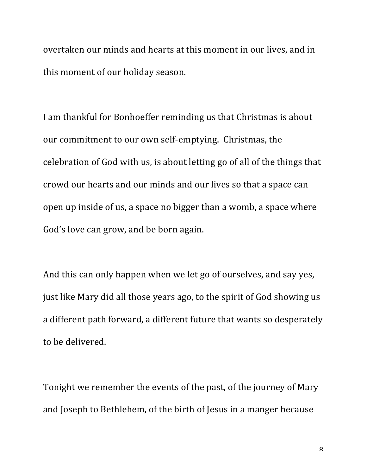overtaken our minds and hearts at this moment in our lives, and in this moment of our holiday season.

I am thankful for Bonhoeffer reminding us that Christmas is about our commitment to our own self-emptying. Christmas, the celebration of God with us, is about letting go of all of the things that crowd our hearts and our minds and our lives so that a space can open up inside of us, a space no bigger than a womb, a space where God's love can grow, and be born again.

And this can only happen when we let go of ourselves, and say yes, just like Mary did all those years ago, to the spirit of God showing us a different path forward, a different future that wants so desperately to be delivered.

Tonight we remember the events of the past, of the journey of Mary and Joseph to Bethlehem, of the birth of Jesus in a manger because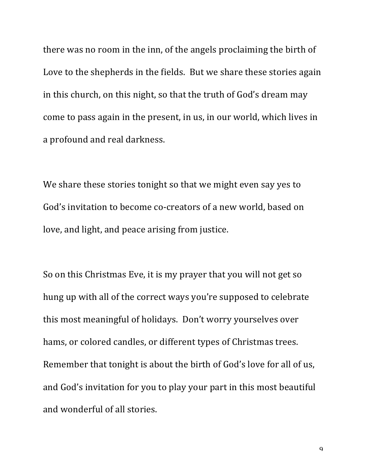there was no room in the inn, of the angels proclaiming the birth of Love to the shepherds in the fields. But we share these stories again in this church, on this night, so that the truth of God's dream may come to pass again in the present, in us, in our world, which lives in a profound and real darkness.

We share these stories tonight so that we might even say yes to God's invitation to become co-creators of a new world, based on love, and light, and peace arising from justice.

So on this Christmas Eve, it is my prayer that you will not get so hung up with all of the correct ways you're supposed to celebrate this most meaningful of holidays. Don't worry yourselves over hams, or colored candles, or different types of Christmas trees. Remember that tonight is about the birth of God's love for all of us, and God's invitation for you to play your part in this most beautiful and wonderful of all stories.